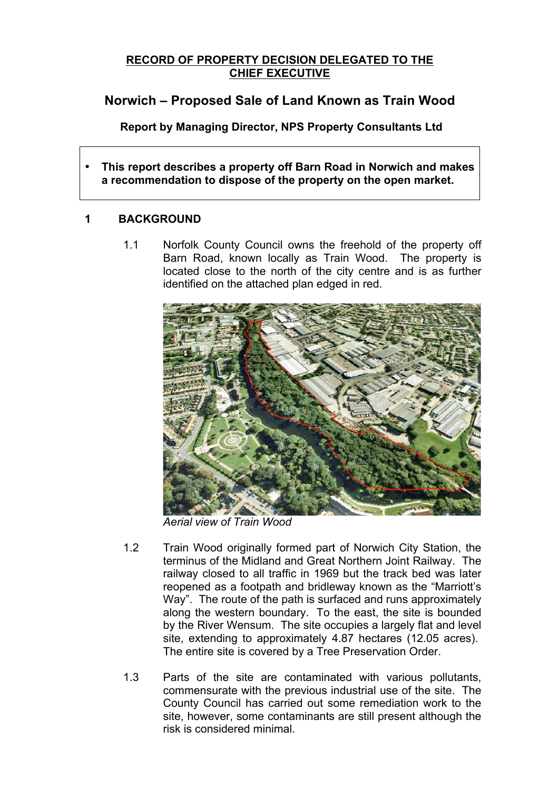### **RECORD OF PROPERTY DECISION DELEGATED TO THE CHIEF EXECUTIVE**

# **Norwich – Proposed Sale of Land Known as Train Wood**

**Report by Managing Director, NPS Property Consultants Ltd**

• **This report describes a property off Barn Road in Norwich and makes a recommendation to dispose of the property on the open market.** 

# **1 BACKGROUND**

1.1 Norfolk County Council owns the freehold of the property off Barn Road, known locally as Train Wood. The property is located close to the north of the city centre and is as further identified on the attached plan edged in red.



*Aerial view of Train Wood*

- 1.2 Train Wood originally formed part of Norwich City Station, the terminus of the Midland and Great Northern Joint Railway. The railway closed to all traffic in 1969 but the track bed was later reopened as a footpath and bridleway known as the "Marriott's Way". The route of the path is surfaced and runs approximately along the western boundary. To the east, the site is bounded by the River Wensum. The site occupies a largely flat and level site, extending to approximately 4.87 hectares (12.05 acres). The entire site is covered by a Tree Preservation Order.
- 1.3 Parts of the site are contaminated with various pollutants, commensurate with the previous industrial use of the site. The County Council has carried out some remediation work to the site, however, some contaminants are still present although the risk is considered minimal.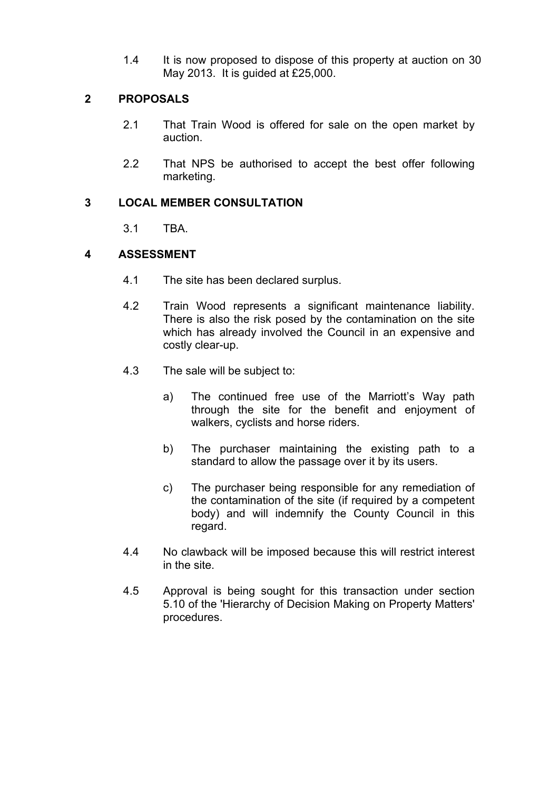1.4 It is now proposed to dispose of this property at auction on 30 May 2013. It is guided at £25,000.

# **2 PROPOSALS**

- 2.1 That Train Wood is offered for sale on the open market by auction.
- 2.2 That NPS be authorised to accept the best offer following marketing.

# **3 LOCAL MEMBER CONSULTATION**

3.1 TBA.

# **4 ASSESSMENT**

- 4.1 The site has been declared surplus.
- 4.2 Train Wood represents a significant maintenance liability. There is also the risk posed by the contamination on the site which has already involved the Council in an expensive and costly clear-up.
- 4.3 The sale will be subject to:
	- a) The continued free use of the Marriott's Way path through the site for the benefit and enjoyment of walkers, cyclists and horse riders.
	- b) The purchaser maintaining the existing path to a standard to allow the passage over it by its users.
	- c) The purchaser being responsible for any remediation of the contamination of the site (if required by a competent body) and will indemnify the County Council in this regard.
- 4.4 No clawback will be imposed because this will restrict interest in the site.
- 4.5 Approval is being sought for this transaction under section 5.10 of the 'Hierarchy of Decision Making on Property Matters' procedures.